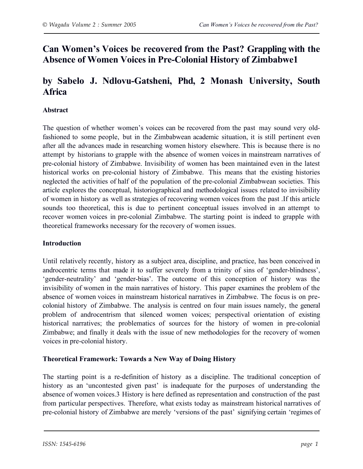## **Can Women's Voices be recovered from the Past? Grappling with the Absence of Women Voices in Pre-Colonial History of Zimbabwe1**

# **by Sabelo J. Ndlovu-Gatsheni, Phd, 2 Monash University, South Africa**

## **Abstract**

The question of whether women's voices can be recovered from the past may sound very oldfashioned to some people, but in the Zimbabwean academic situation, it is still pertinent even after all the advances made in researching women history elsewhere. This is because there is no attempt by historians to grapple with the absence of women voices in mainstream narratives of pre-colonial history of Zimbabwe. Invisibility of women has been maintained even in the latest historical works on pre-colonial history of Zimbabwe. This means that the existing histories neglected the activities of half of the population of the pre-colonial Zimbabwean societies. This article explores the conceptual, historiographical and methodological issues related to invisibility of women in history as well as strategies of recovering women voices from the past .If this article sounds too theoretical, this is due to pertinent conceptual issues involved in an attempt to recover women voices in pre-colonial Zimbabwe. The starting point is indeed to grapple with theoretical frameworks necessary for the recovery of women issues.

#### **Introduction**

Until relatively recently, history as a subject area, discipline, and practice, has been conceived in androcentric terms that made it to suffer severely from a trinity of sins of 'gender-blindness', 'gender-neutrality' and 'gender-bias'. The outcome of this conception of history was the invisibility of women in the main narratives of history. This paper examines the problem of the absence of women voices in mainstream historical narratives in Zimbabwe. The focus is on precolonial history of Zimbabwe. The analysis is centred on four main issues namely, the general problem of androcentrism that silenced women voices; perspectival orientation of existing historical narratives; the problematics of sources for the history of women in pre-colonial Zimbabwe; and finally it deals with the issue of new methodologies for the recovery of women voices in pre-colonial history.

## **Theoretical Framework: Towards a New Way of Doing History**

The starting point is a re-definition of history as a discipline. The traditional conception of history as an 'uncontested given past' is inadequate for the purposes of understanding the absence of women voices.3 History is here defined as representation and construction of the past from particular perspectives. Therefore, what exists today as mainstream historical narratives of pre-colonial history of Zimbabwe are merely 'versions of the past' signifying certain 'regimes of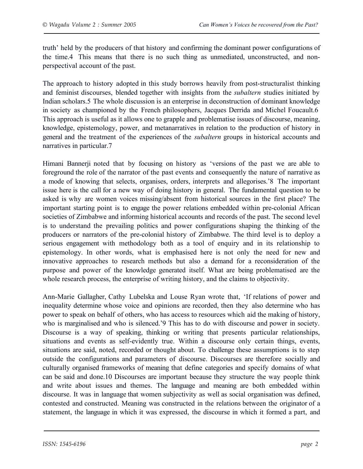truth' held by the producers of that history and confirming the dominant power configurations of the time.4 This means that there is no such thing as unmediated, unconstructed, and nonperspectival account of the past.

The approach to history adopted in this study borrows heavily from post-structuralist thinking and feminist discourses, blended together with insights from the *subaltern* studies initiated by Indian scholars.5 The whole discussion is an enterprise in deconstruction of dominant knowledge in society as championed by the French philosophers, Jacques Derrida and Michel Foucault.6 This approach is useful as it allows one to grapple and problematise issues of discourse, meaning, knowledge, epistemology, power, and metanarratives in relation to the production of history in general and the treatment of the experiences of the *subaltern* groups in historical accounts and narratives in particular.7

Himani Bannerji noted that by focusing on history as 'versions of the past we are able to foreground the role of the narrator of the past events and consequently the nature of narrative as a mode of knowing that selects, organises, orders, interprets and allegorises.'8 The important issue here is the call for a new way of doing history in general. The fundamental question to be asked is why are women voices missing/absent from historical sources in the first place? The important starting point is to engage the power relations embedded within pre-colonial African societies of Zimbabwe and informing historical accounts and records of the past. The second level is to understand the prevailing politics and power configurations shaping the thinking of the producers or narrators of the pre-colonial history of Zimbabwe. The third level is to deploy a serious engagement with methodology both as a tool of enquiry and in its relationship to epistemology. In other words, what is emphasised here is not only the need for new and innovative approaches to research methods but also a demand for a reconsideration of the purpose and power of the knowledge generated itself. What are being problematised are the whole research process, the enterprise of writing history, and the claims to objectivity.

Ann-Marie Gallagher, Cathy Lubelska and Louse Ryan wrote that, 'If relations of power and inequality determine whose voice and opinions are recorded, then they also determine who has power to speak on behalf of others, who has access to resources which aid the making of history, who is marginalised and who is silenced.'9 This has to do with discourse and power in society. Discourse is a way of speaking, thinking or writing that presents particular relationships, situations and events as self-evidently true. Within a discourse only certain things, events, situations are said, noted, recorded or thought about. To challenge these assumptions is to step outside the configurations and parameters of discourse. Discourses are therefore socially and culturally organised frameworks of meaning that define categories and specify domains of what can be said and done.10 Discourses are important because they structure the way people think and write about issues and themes. The language and meaning are both embedded within discourse. It was in language that women subjectivity as well as social organisation was defined, contested and constructed. Meaning was constructed in the relations between the originator of a statement, the language in which it was expressed, the discourse in which it formed a part, and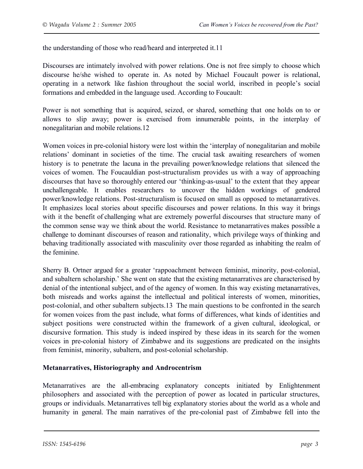the understanding of those who read/heard and interpreted it.11

Discourses are intimately involved with power relations. One is not free simply to choose which discourse he/she wished to operate in. As noted by Michael Foucault power is relational, operating in a network like fashion throughout the social world, inscribed in people's social formations and embedded in the language used. According to Foucault:

Power is not something that is acquired, seized, or shared, something that one holds on to or allows to slip away; power is exercised from innumerable points, in the interplay of nonegalitarian and mobile relations.12

Women voices in pre-colonial history were lost within the 'interplay of nonegalitarian and mobile relations' dominant in societies of the time. The crucial task awaiting researchers of women history is to penetrate the lacuna in the prevailing power/knowledge relations that silenced the voices of women. The Foucauldian post-structuralism provides us with a way of approaching discourses that have so thoroughly entered our 'thinking-as-usual' to the extent that they appear unchallengeable. It enables researchers to uncover the hidden workings of gendered power/knowledge relations. Post-structuralism is focused on small as opposed to metanarratives. It emphasizes local stories about specific discourses and power relations. In this way it brings with it the benefit of challenging what are extremely powerful discourses that structure many of the common sense way we think about the world. Resistance to metanarratives makes possible a challenge to dominant discourses of reason and rationality, which privilege ways of thinking and behaving traditionally associated with masculinity over those regarded as inhabiting the realm of the feminine.

Sherry B. Ortner argued for a greater 'rappoachment between feminist, minority, post-colonial, and subaltern scholarship.' She went on state that the existing metanarratives are characterised by denial of the intentional subject, and of the agency of women. In this way existing metanarratives, both misreads and works against the intellectual and political interests of women, minorities, post-colonial, and other subaltern subjects.13 The main questions to be confronted in the search for women voices from the past include, what forms of differences, what kinds of identities and subject positions were constructed within the framework of a given cultural, ideological, or discursive formation. This study is indeed inspired by these ideas in its search for the women voices in pre-colonial history of Zimbabwe and its suggestions are predicated on the insights from feminist, minority, subaltern, and post-colonial scholarship.

## **Metanarratives, Historiography and Androcentrism**

Metanarratives are the all-embracing explanatory concepts initiated by Enlightenment philosophers and associated with the perception of power as located in particular structures, groups or individuals. Metanarratives tell big explanatory stories about the world as a whole and humanity in general. The main narratives of the pre-colonial past of Zimbabwe fell into the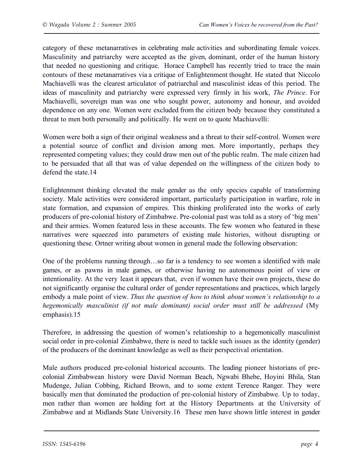category of these metanarratives in celebrating male activities and subordinating female voices. Masculinity and patriarchy were accepted as the given, dominant, order of the human history that needed no questioning and critique. Horace Campbell has recently tried to trace the main contours of these metanarratives via a critique of Enlightenment thought. He stated that Niccolo Machiavelli was the clearest articulator of patriarchal and masculinist ideas of this period. The ideas of masculinity and patriarchy were expressed very firmly in his work, *The Prince*. For Machiavelli, sovereign man was one who sought power, autonomy and honour, and avoided dependence on any one. Women were excluded from the citizen body because they constituted a threat to men both personally and politically. He went on to quote Machiavelli:

Women were both a sign of their original weakness and a threat to their self-control. Women were a potential source of conflict and division among men. More importantly, perhaps they represented competing values; they could draw men out of the public realm. The male citizen had to be persuaded that all that was of value depended on the willingness of the citizen body to defend the state.14

Enlightenment thinking elevated the male gender as the only species capable of transforming society. Male activities were considered important, particularly participation in warfare, role in state formation, and expansion of empires. This thinking proliferated into the works of early producers of pre-colonial history of Zimbabwe. Pre-colonial past was told as a story of 'big men' and their armies. Women featured less in these accounts. The few women who featured in these narratives were squeezed into parameters of existing male histories, without disrupting or questioning these. Ortner writing about women in general made the following observation:

One of the problems running through…so far is a tendency to see women a identified with male games, or as pawns in male games, or otherwise having no autonomous point of view or intentionality. At the very least it appears that, even if women have their own projects, these do not significantly organise the cultural order of gender representations and practices, which largely embody a male point of view. *Thus the question of how to think about women's relationship to a hegemonically masculinist (if not male dominant) social order must still be addressed* (My emphasis).15

Therefore, in addressing the question of women's relationship to a hegemonically masculinist social order in pre-colonial Zimbabwe, there is need to tackle such issues as the identity (gender) of the producers of the dominant knowledge as well as their perspectival orientation.

Male authors produced pre-colonial historical accounts. The leading pioneer historians of precolonial Zimbabwean history were David Norman Beach, Ngwabi Bhebe, Hoyini Bhila, Stan Mudenge, Julian Cobbing, Richard Brown, and to some extent Terence Ranger. They were basically men that dominated the production of pre-colonial history of Zimbabwe. Up to today, men rather than women are holding fort at the History Departments at the University of Zimbabwe and at Midlands State University.16 These men have shown little interest in gender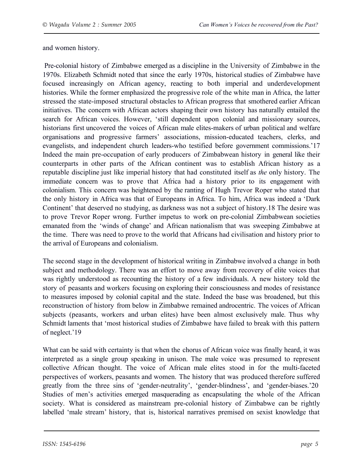and women history.

 Pre-colonial history of Zimbabwe emerged as a discipline in the University of Zimbabwe in the 1970s. Elizabeth Schmidt noted that since the early 1970s, historical studies of Zimbabwe have focused increasingly on African agency, reacting to both imperial and underdevelopment histories. While the former emphasized the progressive role of the white man in Africa, the latter stressed the state-imposed structural obstacles to African progress that smothered earlier African initiatives. The concern with African actors shaping their own history has naturally entailed the search for African voices. However, 'still dependent upon colonial and missionary sources, historians first uncovered the voices of African male elites-makers of urban political and welfare organisations and progressive farmers' associations, mission-educated teachers, clerks, and evangelists, and independent church leaders-who testified before government commissions.'17 Indeed the main pre-occupation of early producers of Zimbabwean history in general like their counterparts in other parts of the African continent was to establish African history as a reputable discipline just like imperial history that had constituted itself as *the* only history. The immediate concern was to prove that Africa had a history prior to its engagement with colonialism. This concern was heightened by the ranting of Hugh Trevor Roper who stated that the only history in Africa was that of Europeans in Africa. To him, Africa was indeed a 'Dark Continent' that deserved no studying, as darkness was not a subject of history.18 The desire was to prove Trevor Roper wrong. Further impetus to work on pre-colonial Zimbabwean societies emanated from the 'winds of change' and African nationalism that was sweeping Zimbabwe at the time. There was need to prove to the world that Africans had civilisation and history prior to the arrival of Europeans and colonialism.

The second stage in the development of historical writing in Zimbabwe involved a change in both subject and methodology. There was an effort to move away from recovery of elite voices that was rightly understood as recounting the history of a few individuals. A new history told the story of peasants and workers focusing on exploring their consciousness and modes of resistance to measures imposed by colonial capital and the state. Indeed the base was broadened, but this reconstruction of history from below in Zimbabwe remained androcentric. The voices of African subjects (peasants, workers and urban elites) have been almost exclusively male. Thus why Schmidt laments that 'most historical studies of Zimbabwe have failed to break with this pattern of neglect.'19

What can be said with certainty is that when the chorus of African voice was finally heard, it was interpreted as a single group speaking in unison. The male voice was presumed to represent collective African thought. The voice of African male elites stood in for the multi-faceted perspectives of workers, peasants and women. The history that was produced therefore suffered greatly from the three sins of 'gender-neutrality', 'gender-blindness', and 'gender-biases.'20 Studies of men's activities emerged masquerading as encapsulating the whole of the African society. What is considered as mainstream pre-colonial history of Zimbabwe can be rightly labelled 'male stream' history, that is, historical narratives premised on sexist knowledge that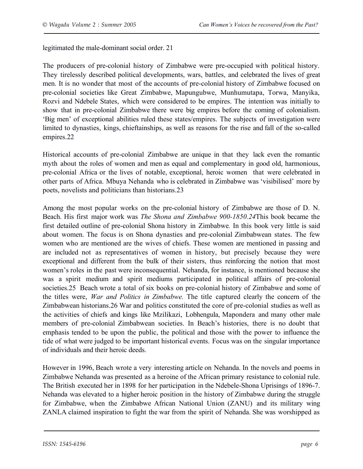legitimated the male-dominant social order. 21

The producers of pre-colonial history of Zimbabwe were pre-occupied with political history. They tirelessly described political developments, wars, battles, and celebrated the lives of great men. It is no wonder that most of the accounts of pre-colonial history of Zimbabwe focused on pre-colonial societies like Great Zimbabwe, Mapungubwe, Munhumutapa, Torwa, Manyika, Rozvi and Ndebele States, which were considered to be empires. The intention was initially to show that in pre-colonial Zimbabwe there were big empires before the coming of colonialism. 'Big men' of exceptional abilities ruled these states/empires. The subjects of investigation were limited to dynasties, kings, chieftainships, as well as reasons for the rise and fall of the so-called empires.22

Historical accounts of pre-colonial Zimbabwe are unique in that they lack even the romantic myth about the roles of women and men as equal and complementary in good old, harmonious, pre-colonial Africa or the lives of notable, exceptional, heroic women that were celebrated in other parts of Africa. Mbuya Nehanda who is celebrated in Zimbabwe was 'visibilised' more by poets, novelists and politicians than historians.23

Among the most popular works on the pre-colonial history of Zimbabwe are those of D. N. Beach. His first major work was *The Shona and Zimbabwe 900-1850.24*This book became the first detailed outline of pre-colonial Shona history in Zimbabwe*.* In this book very little is said about women. The focus is on Shona dynasties and pre-colonial Zimbabwean states. The few women who are mentioned are the wives of chiefs. These women are mentioned in passing and are included not as representatives of women in history, but precisely because they were exceptional and different from the bulk of their sisters, thus reinforcing the notion that most women's roles in the past were inconsequential. Nehanda, for instance, is mentioned because she was a spirit medium and spirit mediums participated in political affairs of pre-colonial societies.25 Beach wrote a total of six books on pre-colonial history of Zimbabwe and some of the titles were, *War and Politics in Zimbabwe.* The title captured clearly the concern of the Zimbabwean historians.26 War and politics constituted the core of pre-colonial studies as well as the activities of chiefs and kings like Mzilikazi, Lobhengula, Mapondera and many other male members of pre-colonial Zimbabwean societies. In Beach's histories, there is no doubt that emphasis tended to be upon the public, the political and those with the power to influence the tide of what were judged to be important historical events. Focus was on the singular importance of individuals and their heroic deeds.

However in 1996, Beach wrote a very interesting article on Nehanda. In the novels and poems in Zimbabwe Nehanda was presented as a heroine of the African primary resistance to colonial rule. The British executed her in 1898 for her participation in the Ndebele-Shona Uprisings of 1896-7. Nehanda was elevated to a higher heroic position in the history of Zimbabwe during the struggle for Zimbabwe, when the Zimbabwe African National Union (ZANU) and its military wing ZANLA claimed inspiration to fight the war from the spirit of Nehanda. She was worshipped as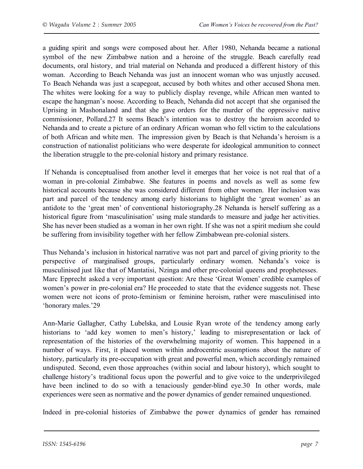a guiding spirit and songs were composed about her. After 1980, Nehanda became a national symbol of the new Zimbabwe nation and a heroine of the struggle. Beach carefully read documents, oral history, and trial material on Nehanda and produced a different history of this woman. According to Beach Nehanda was just an innocent woman who was unjustly accused. To Beach Nehanda was just a scapegoat, accused by both whites and other accused Shona men. The whites were looking for a way to publicly display revenge, while African men wanted to escape the hangman's noose. According to Beach, Nehanda did not accept that she organised the Uprising in Mashonaland and that she gave orders for the murder of the oppressive native commissioner, Pollard.27 It seems Beach's intention was to destroy the heroism accorded to Nehanda and to create a picture of an ordinary African woman who fell victim to the calculations of both African and white men. The impression given by Beach is that Nehanda's heroism is a construction of nationalist politicians who were desperate for ideological ammunition to connect the liberation struggle to the pre-colonial history and primary resistance.

 If Nehanda is conceptualised from another level it emerges that her voice is not real that of a woman in pre-colonial Zimbabwe. She features in poems and novels as well as some few historical accounts because she was considered different from other women. Her inclusion was part and parcel of the tendency among early historians to highlight the 'great women' as an antidote to the 'great men' of conventional historiography.28 Nehanda is herself suffering as a historical figure from 'masculinisation' using male standards to measure and judge her activities. She has never been studied as a woman in her own right. If she was not a spirit medium she could be suffering from invisibility together with her fellow Zimbabwean pre-colonial sisters.

Thus Nehanda's inclusion in historical narrative was not part and parcel of giving priority to the perspective of marginalised groups, particularly ordinary women. Nehanda's voice is musculinised just like that of Mantatisi, Nzinga and other pre-colonial queens and prophetesses. Marc Epprecht asked a very important question: Are these 'Great Women' credible examples of women's power in pre-colonial era? He proceeded to state that the evidence suggests not. These women were not icons of proto-feminism or feminine heroism, rather were masculinised into 'honorary males.'29

Ann-Marie Gallagher, Cathy Lubelska, and Lousie Ryan wrote of the tendency among early historians to 'add key women to men's history,' leading to misrepresentation or lack of representation of the histories of the overwhelming majority of women. This happened in a number of ways. First, it placed women within androcentric assumptions about the nature of history, particularly its pre-occupation with great and powerful men, which accordingly remained undisputed. Second, even those approaches (within social and labour history), which sought to challenge history's traditional focus upon the powerful and to give voice to the underprivileged have been inclined to do so with a tenaciously gender-blind eye.30 In other words, male experiences were seen as normative and the power dynamics of gender remained unquestioned.

Indeed in pre-colonial histories of Zimbabwe the power dynamics of gender has remained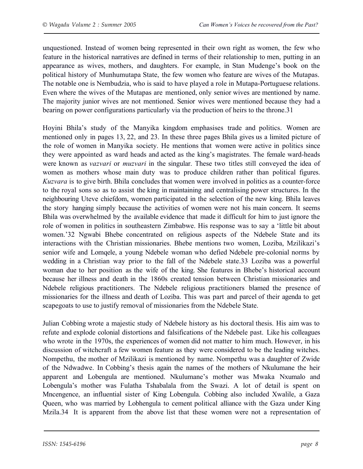unquestioned. Instead of women being represented in their own right as women, the few who feature in the historical narratives are defined in terms of their relationship to men, putting in an appearance as wives, mothers, and daughters. For example, in Stan Mudenge's book on the political history of Munhumutapa State, the few women who feature are wives of the Mutapas. The notable one is Nembudzia, who is said to have played a role in Mutapa-Portuguese relations. Even where the wives of the Mutapas are mentioned, only senior wives are mentioned by name. The majority junior wives are not mentioned. Senior wives were mentioned because they had a bearing on power configurations particularly via the production of heirs to the throne.31

Hoyini Bhila's study of the Manyika kingdom emphasises trade and politics. Women are mentioned only in pages 13, 22, and 23. In these three pages Bhila gives us a limited picture of the role of women in Manyika society. He mentions that women were active in politics since they were appointed as ward heads and acted as the king's magistrates. The female ward-heads were known as *vazvari* or *muzvari* in the singular. These two titles still conveyed the idea of women as mothers whose main duty was to produce children rather than political figures. *Kuzvara* is to give birth. Bhila concludes that women were involved in politics as a counter-force to the royal sons so as to assist the king in maintaining and centralising power structures. In the neighbouring Uteve chiefdom, women participated in the selection of the new king. Bhila leaves the story hanging simply because the activities of women were not his main concern. It seems Bhila was overwhelmed by the available evidence that made it difficult for him to just ignore the role of women in politics in southeastern Zimbabwe. His response was to say a 'little bit about women.'32 Ngwabi Bhebe concentrated on religious aspects of the Ndebele State and its interactions with the Christian missionaries. Bhebe mentions two women, Loziba, Mzilikazi's senior wife and Lomqele, a young Ndebele woman who defied Ndebele pre-colonial norms by wedding in a Christian way prior to the fall of the Ndebele state.33 Loziba was a powerful woman due to her position as the wife of the king. She features in Bhebe's historical account because her illness and death in the 1860s created tension between Christian missionaries and Ndebele religious practitioners. The Ndebele religious practitioners blamed the presence of missionaries for the illness and death of Loziba. This was part and parcel of their agenda to get scapegoats to use to justify removal of missionaries from the Ndebele State.

Julian Cobbing wrote a majestic study of Ndebele history as his doctoral thesis. His aim was to refute and explode colonial distortions and falsifications of the Ndebele past. Like his colleagues who wrote in the 1970s, the experiences of women did not matter to him much. However, in his discussion of witchcraft a few women feature as they were considered to be the leading witches. Nompethu, the mother of Mzilikazi is mentioned by name. Nompethu was a daughter of Zwide of the Ndwadwe. In Cobbing's thesis again the names of the mothers of Nkulumane the heir apparent and Lobengula are mentioned. Nkulumane's mother was Mwaka Nxumalo and Lobengula's mother was Fulatha Tshabalala from the Swazi. A lot of detail is spent on Mncengence, an influential sister of King Lobengula. Cobbing also included Xwalile, a Gaza Queen, who was married by Lobhengula to cement political alliance with the Gaza under King Mzila.34 It is apparent from the above list that these women were not a representation of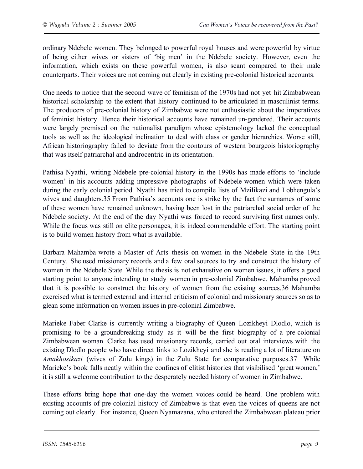ordinary Ndebele women. They belonged to powerful royal houses and were powerful by virtue of being either wives or sisters of 'big men' in the Ndebele society. However, even the information, which exists on these powerful women, is also scant compared to their male counterparts. Their voices are not coming out clearly in existing pre-colonial historical accounts.

One needs to notice that the second wave of feminism of the 1970s had not yet hit Zimbabwean historical scholarship to the extent that history continued to be articulated in masculinist terms. The producers of pre-colonial history of Zimbabwe were not enthusiastic about the imperatives of feminist history. Hence their historical accounts have remained un-gendered. Their accounts were largely premised on the nationalist paradigm whose epistemology lacked the conceptual tools as well as the ideological inclination to deal with class or gender hierarchies. Worse still, African historiography failed to deviate from the contours of western bourgeois historiography that was itself patriarchal and androcentric in its orientation.

Pathisa Nyathi, writing Ndebele pre-colonial history in the 1990s has made efforts to 'include women' in his accounts adding impressive photographs of Ndebele women which were taken during the early colonial period. Nyathi has tried to compile lists of Mzilikazi and Lobhengula's wives and daughters.35 From Pathisa's accounts one is strike by the fact the surnames of some of these women have remained unknown, having been lost in the patriarchal social order of the Ndebele society. At the end of the day Nyathi was forced to record surviving first names only. While the focus was still on elite personages, it is indeed commendable effort. The starting point is to build women history from what is available.

Barbara Mahamba wrote a Master of Arts thesis on women in the Ndebele State in the 19th Century. She used missionary records and a few oral sources to try and construct the history of women in the Ndebele State. While the thesis is not exhaustive on women issues, it offers a good starting point to anyone intending to study women in pre-colonial Zimbabwe. Mahamba proved that it is possible to construct the history of women from the existing sources.36 Mahamba exercised what is termed external and internal criticism of colonial and missionary sources so as to glean some information on women issues in pre-colonial Zimbabwe.

Marieke Faber Clarke is currently writing a biography of Queen Lozikheyi Dlodlo, which is promising to be a groundbreaking study as it will be the first biography of a pre-colonial Zimbabwean woman. Clarke has used missionary records, carried out oral interviews with the existing Dlodlo people who have direct links to Lozikheyi and she is reading a lot of literature on *Amakhosikazi* (wives of Zulu kings) in the Zulu State for comparative purposes.37 While Marieke's book falls neatly within the confines of elitist histories that visibilised 'great women,' it is still a welcome contribution to the desperately needed history of women in Zimbabwe.

These efforts bring hope that one-day the women voices could be heard. One problem with existing accounts of pre-colonial history of Zimbabwe is that even the voices of queens are not coming out clearly. For instance, Queen Nyamazana, who entered the Zimbabwean plateau prior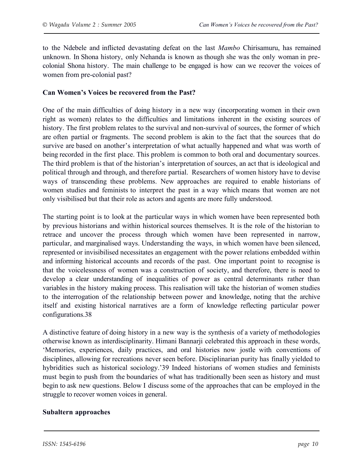to the Ndebele and inflicted devastating defeat on the last *Mambo* Chirisamuru, has remained unknown. In Shona history, only Nehanda is known as though she was the only woman in precolonial Shona history. The main challenge to be engaged is how can we recover the voices of women from pre-colonial past?

#### **Can Women's Voices be recovered from the Past?**

One of the main difficulties of doing history in a new way (incorporating women in their own right as women) relates to the difficulties and limitations inherent in the existing sources of history. The first problem relates to the survival and non-survival of sources, the former of which are often partial or fragments. The second problem is akin to the fact that the sources that do survive are based on another's interpretation of what actually happened and what was worth of being recorded in the first place. This problem is common to both oral and documentary sources. The third problem is that of the historian's interpretation of sources, an act that is ideological and political through and through, and therefore partial. Researchers of women history have to devise ways of transcending these problems. New approaches are required to enable historians of women studies and feminists to interpret the past in a way which means that women are not only visibilised but that their role as actors and agents are more fully understood.

The starting point is to look at the particular ways in which women have been represented both by previous historians and within historical sources themselves. It is the role of the historian to retrace and uncover the process through which women have been represented in narrow, particular, and marginalised ways. Understanding the ways, in which women have been silenced, represented or invisibilised necessitates an engagement with the power relations embedded within and informing historical accounts and records of the past. One important point to recognise is that the voicelessness of women was a construction of society, and therefore, there is need to develop a clear understanding of inequalities of power as central determinants rather than variables in the history making process. This realisation will take the historian of women studies to the interrogation of the relationship between power and knowledge, noting that the archive itself and existing historical narratives are a form of knowledge reflecting particular power configurations.38

A distinctive feature of doing history in a new way is the synthesis of a variety of methodologies otherwise known as interdisciplinarity. Himani Bannarji celebrated this approach in these words, 'Memories, experiences, daily practices, and oral histories now jostle with conventions of disciplines, allowing for recreations never seen before. Disciplinarian purity has finally yielded to hybridities such as historical sociology.'39 Indeed historians of women studies and feminists must begin to push from the boundaries of what has traditionally been seen as history and must begin to ask new questions. Below I discuss some of the approaches that can be employed in the struggle to recover women voices in general.

#### **Subaltern approaches**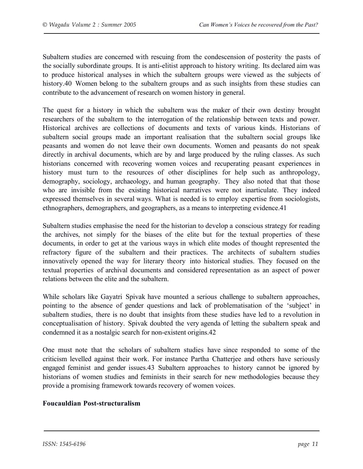Subaltern studies are concerned with rescuing from the condescension of posterity the pasts of the socially subordinate groups. It is anti-elitist approach to history writing. Its declared aim was to produce historical analyses in which the subaltern groups were viewed as the subjects of history.40 Women belong to the subaltern groups and as such insights from these studies can contribute to the advancement of research on women history in general.

The quest for a history in which the subaltern was the maker of their own destiny brought researchers of the subaltern to the interrogation of the relationship between texts and power. Historical archives are collections of documents and texts of various kinds. Historians of subaltern social groups made an important realisation that the subaltern social groups like peasants and women do not leave their own documents. Women and peasants do not speak directly in archival documents, which are by and large produced by the ruling classes. As such historians concerned with recovering women voices and recuperating peasant experiences in history must turn to the resources of other disciplines for help such as anthropology, demography, sociology, archaeology, and human geography. They also noted that that those who are invisible from the existing historical narratives were not inarticulate. They indeed expressed themselves in several ways. What is needed is to employ expertise from sociologists, ethnographers, demographers, and geographers, as a means to interpreting evidence.41

Subaltern studies emphasise the need for the historian to develop a conscious strategy for reading the archives, not simply for the biases of the elite but for the textual properties of these documents, in order to get at the various ways in which elite modes of thought represented the refractory figure of the subaltern and their practices. The architects of subaltern studies innovatively opened the way for literary theory into historical studies. They focused on the textual properties of archival documents and considered representation as an aspect of power relations between the elite and the subaltern.

While scholars like Gayatri Spivak have mounted a serious challenge to subaltern approaches, pointing to the absence of gender questions and lack of problematisation of the 'subject' in subaltern studies, there is no doubt that insights from these studies have led to a revolution in conceptualisation of history. Spivak doubted the very agenda of letting the subaltern speak and condemned it as a nostalgic search for non-existent origins.42

One must note that the scholars of subaltern studies have since responded to some of the criticism levelled against their work. For instance Partha Chatterjee and others have seriously engaged feminist and gender issues.43 Subaltern approaches to history cannot be ignored by historians of women studies and feminists in their search for new methodologies because they provide a promising framework towards recovery of women voices.

#### **Foucauldian Post-structuralism**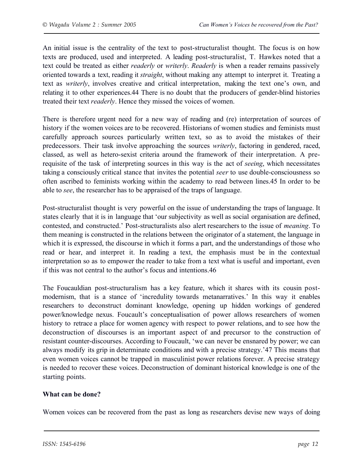An initial issue is the centrality of the text to post-structuralist thought. The focus is on how texts are produced, used and interpreted. A leading post-structuralist, T. Hawkes noted that a text could be treated as either *readerly* or *writerly*. *Readerly* is when a reader remains passively oriented towards a text, reading it *straight*, without making any attempt to interpret it. Treating a text as *writerly*, involves creative and critical interpretation, making the text one's own, and relating it to other experiences.44 There is no doubt that the producers of gender-blind histories treated their text *readerly*. Hence they missed the voices of women.

There is therefore urgent need for a new way of reading and (re) interpretation of sources of history if the women voices are to be recovered. Historians of women studies and feminists must carefully approach sources particularly written text, so as to avoid the mistakes of their predecessors. Their task involve approaching the sources *writerly*, factoring in gendered, raced, classed, as well as hetero-sexist criteria around the framework of their interpretation. A prerequisite of the task of interpreting sources in this way is the act of *seeing*, which necessitates taking a consciously critical stance that invites the potential *seer* to use double-consciousness so often ascribed to feminists working within the academy to read between lines.45 In order to be able to *see*, the researcher has to be appraised of the traps of language.

Post-structuralist thought is very powerful on the issue of understanding the traps of language. It states clearly that it is in language that 'our subjectivity as well as social organisation are defined, contested, and constructed.' Post-structuralists also alert researchers to the issue of *meaning*. To them meaning is constructed in the relations between the originator of a statement, the language in which it is expressed, the discourse in which it forms a part, and the understandings of those who read or hear, and interpret it. In reading a text, the emphasis must be in the contextual interpretation so as to empower the reader to take from a text what is useful and important, even if this was not central to the author's focus and intentions.46

The Foucauldian post-structuralism has a key feature, which it shares with its cousin postmodernism, that is a stance of 'incredulity towards metanarratives.' In this way it enables researchers to deconstruct dominant knowledge, opening up hidden workings of gendered power/knowledge nexus. Foucault's conceptualisation of power allows researchers of women history to retrace a place for women agency with respect to power relations, and to see how the deconstruction of discourses is an important aspect of and precursor to the construction of resistant counter-discourses. According to Foucault, 'we can never be ensnared by power; we can always modify its grip in determinate conditions and with a precise strategy.'47 This means that even women voices cannot be trapped in masculinist power relations forever. A precise strategy is needed to recover these voices. Deconstruction of dominant historical knowledge is one of the starting points.

#### **What can be done?**

Women voices can be recovered from the past as long as researchers devise new ways of doing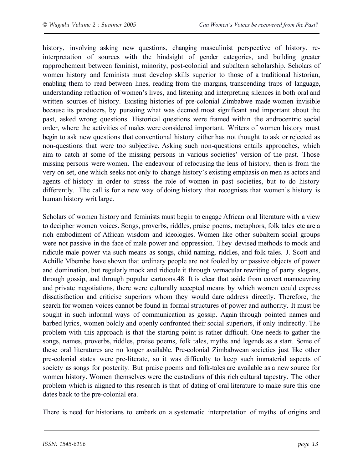history, involving asking new questions, changing masculinist perspective of history, reinterpretation of sources with the hindsight of gender categories, and building greater rapprochement between feminist, minority, post-colonial and subaltern scholarship. Scholars of women history and feminists must develop skills superior to those of a traditional historian, enabling them to read between lines, reading from the margins, transcending traps of language, understanding refraction of women's lives, and listening and interpreting silences in both oral and written sources of history. Existing histories of pre-colonial Zimbabwe made women invisible because its producers, by pursuing what was deemed most significant and important about the past, asked wrong questions. Historical questions were framed within the androcentric social order, where the activities of males were considered important. Writers of women history must begin to ask new questions that conventional history either has not thought to ask or rejected as non-questions that were too subjective. Asking such non-questions entails approaches, which aim to catch at some of the missing persons in various societies' version of the past. Those missing persons were women. The endeavour of refocusing the lens of history, then is from the very on set, one which seeks not only to change history's existing emphasis on men as actors and agents of history in order to stress the role of women in past societies, but to do history differently. The call is for a new way of doing history that recognises that women's history is human history writ large.

Scholars of women history and feminists must begin to engage African oral literature with a view to decipher women voices. Songs, proverbs, riddles, praise poems, metaphors, folk tales etc are a rich embodiment of African wisdom and ideologies. Women like other subaltern social groups were not passive in the face of male power and oppression. They devised methods to mock and ridicule male power via such means as songs, child naming, riddles, and folk tales. J. Scott and Achille Mbembe have shown that ordinary people are not fooled by or passive objects of power and domination, but regularly mock and ridicule it through vernacular rewriting of party slogans, through gossip, and through popular cartoons.48 It is clear that aside from covert manoeuvring and private negotiations, there were culturally accepted means by which women could express dissatisfaction and criticise superiors whom they would dare address directly. Therefore, the search for women voices cannot be found in formal structures of power and authority. It must be sought in such informal ways of communication as gossip. Again through pointed names and barbed lyrics, women boldly and openly confronted their social superiors, if only indirectly. The problem with this approach is that the starting point is rather difficult. One needs to gather the songs, names, proverbs, riddles, praise poems, folk tales, myths and legends as a start. Some of these oral literatures are no longer available. Pre-colonial Zimbabwean societies just like other pre-colonial states were pre-literate, so it was difficulty to keep such immaterial aspects of society as songs for posterity. But praise poems and folk-tales are available as a new source for women history. Women themselves were the custodians of this rich cultural tapestry. The other problem which is aligned to this research is that of dating of oral literature to make sure this one dates back to the pre-colonial era.

There is need for historians to embark on a systematic interpretation of myths of origins and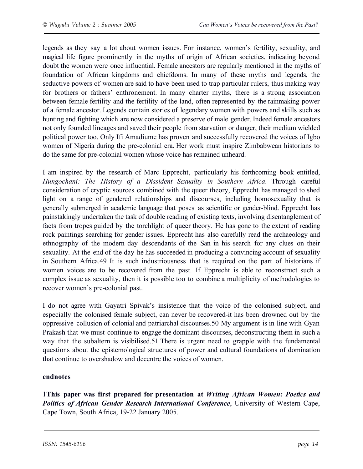legends as they say a lot about women issues. For instance, women's fertility, sexuality, and magical life figure prominently in the myths of origin of African societies, indicating beyond doubt the women were once influential. Female ancestors are regularly mentioned in the myths of foundation of African kingdoms and chiefdoms. In many of these myths and legends, the seductive powers of women are said to have been used to trap particular rulers, thus making way for brothers or fathers' enthronement. In many charter myths, there is a strong association between female fertility and the fertility of the land, often represented by the rainmaking power of a female ancestor. Legends contain stories of legendary women with powers and skills such as hunting and fighting which are now considered a preserve of male gender. Indeed female ancestors not only founded lineages and saved their people from starvation or danger, their medium wielded political power too. Only Ifi Amadiume has proven and successfully recovered the voices of Igbo women of Nigeria during the pre-colonial era. Her work must inspire Zimbabwean historians to do the same for pre-colonial women whose voice has remained unheard.

I am inspired by the research of Marc Epprecht, particularly his forthcoming book entitled, *Hungochani: The History of a Dissident Sexuality in Southern Africa*. Through careful consideration of cryptic sources combined with the queer theory, Epprecht has managed to shed light on a range of gendered relationships and discourses, including homosexuality that is generally submerged in academic language that poses as scientific or gender-blind. Epprecht has painstakingly undertaken the task of double reading of existing texts, involving disentanglement of facts from tropes guided by the torchlight of queer theory. He has gone to the extent of reading rock paintings searching for gender issues. Epprecht has also carefully read the archaeology and ethnography of the modern day descendants of the San in his search for any clues on their sexuality. At the end of the day he has succeeded in producing a convincing account of sexuality in Southern Africa.49 It is such industriousness that is required on the part of historians if women voices are to be recovered from the past. If Epprecht is able to reconstruct such a complex issue as sexuality, then it is possible too to combine a multiplicity of methodologies to recover women's pre-colonial past.

I do not agree with Gayatri Spivak's insistence that the voice of the colonised subject, and especially the colonised female subject, can never be recovered-it has been drowned out by the oppressive collusion of colonial and patriarchal discourses.50 My argument is in line with Gyan Prakash that we must continue to engage the dominant discourses, deconstructing them in such a way that the subaltern is visibilised.51 There is urgent need to grapple with the fundamental questions about the epistemological structures of power and cultural foundations of domination that continue to overshadow and decentre the voices of women.

#### **endnotes**

1**This paper was first prepared for presentation at** *Writing African Women: Poetics and Politics of African Gender Research International Conference*, University of Western Cape, Cape Town, South Africa, 19-22 January 2005.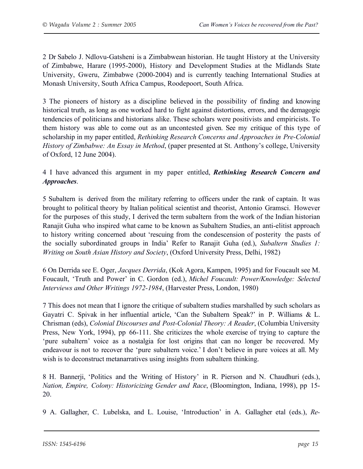2 Dr Sabelo J. Ndlovu-Gatsheni is a Zimbabwean historian. He taught History at the University of Zimbabwe, Harare (1995-2000), History and Development Studies at the Midlands State University, Gweru, Zimbabwe (2000-2004) and is currently teaching International Studies at Monash University, South Africa Campus, Roodepoort, South Africa.

3 The pioneers of history as a discipline believed in the possibility of finding and knowing historical truth, as long as one worked hard to fight against distortions, errors, and the demagogic tendencies of politicians and historians alike. These scholars were positivists and empiricists. To them history was able to come out as an uncontested given. See my critique of this type of scholarship in my paper entitled, *Rethinking Research Concerns and Approaches in Pre-Colonial History of Zimbabwe: An Essay in Method*, (paper presented at St. Anthony's college, University of Oxford, 12 June 2004).

4 I have advanced this argument in my paper entitled, *Rethinking Research Concern and Approaches*.

5 Subaltern is derived from the military referring to officers under the rank of captain. It was brought to political theory by Italian political scientist and theorist, Antonio Gramsci. However for the purposes of this study, I derived the term subaltern from the work of the Indian historian Ranajit Guha who inspired what came to be known as Subaltern Studies, an anti-elitist approach to history writing concerned about 'rescuing from the condescension of posterity the pasts of the socially subordinated groups in India' Refer to Ranajit Guha (ed.), *Subaltern Studies 1: Writing on South Asian History and Society*, (Oxford University Press, Delhi, 1982)

6 On Derrida see E. Oger, *Jacques Derrida*, (Kok Agora, Kampen, 1995) and for Foucault see M. Foucault, 'Truth and Power' in C. Gordon (ed.), *Michel Foucault: Power/Knowledge: Selected Interviews and Other Writings 1972-1984*, (Harvester Press, London, 1980)

7 This does not mean that I ignore the critique of subaltern studies marshalled by such scholars as Gayatri C. Spivak in her influential article, 'Can the Subaltern Speak?' in P. Williams & L. Chrisman (eds), *Colonial Discourses and Post-Colonial Theory: A Reader*, (Columbia University Press, New York, 1994), pp 66-111. She criticizes the whole exercise of trying to capture the 'pure subaltern' voice as a nostalgia for lost origins that can no longer be recovered. My endeavour is not to recover the 'pure subaltern voice.' I don't believe in pure voices at all. My wish is to deconstruct metanarratives using insights from subaltern thinking.

8 H. Bannerji, 'Politics and the Writing of History' in R. Pierson and N. Chaudhuri (eds.), *Nation, Empire, Colony: Historicizing Gender and Race*, (Bloomington, Indiana, 1998), pp 15- 20.

9 A. Gallagher, C. Lubelska, and L. Louise, 'Introduction' in A. Gallagher etal (eds.), *Re-*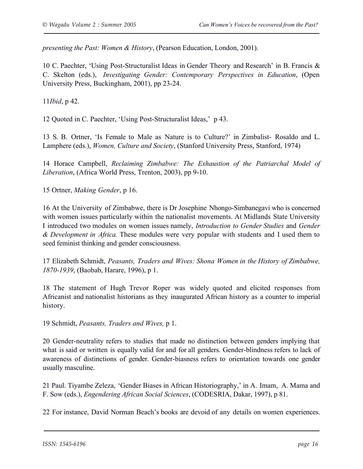*presenting the Past: Women & History*, (Pearson Education, London, 2001).

10 C. Paechter, 'Using Post-Structuralist Ideas in Gender Theory and Research' in B. Francis & C. Skelton (eds.), *Investigating Gender: Contemporary Perspectives in Education*, (Open University Press, Buckingham, 2001), pp 23-24.

11*Ibid*, p 42.

12 Quoted in C. Paechter, 'Using Post-Structuralist Ideas,' p 43.

13 S. B. Ortner, 'Is Female to Male as Nature is to Culture?' in Zimbalist- Rosaldo and L. Lamphere (eds.), *Women, Culture and Society*, (Stanford University Press, Stanford, 1974)

14 Horace Campbell, *Reclaiming Zimbabwe: The Exhaustion of the Patriarchal Model of Liberation*, (Africa World Press, Trenton, 2003), pp 9-10.

15 Ortner, *Making Gender*, p 16.

16 At the University of Zimbabwe, there is Dr Josephine Nhongo-Simbanegavi who is concerned with women issues particularly within the nationalist movements. At Midlands State University I introduced two modules on women issues namely, *Introduction to Gender Studies* and *Gender & Development in Africa.* These modules were very popular with students and I used them to seed feminist thinking and gender consciousness.

17 Elizabeth Schmidt, *Peasants, Traders and Wives: Shona Women in the History of Zimbabwe, 1870-1939*, (Baobab, Harare, 1996), p 1.

18 The statement of Hugh Trevor Roper was widely quoted and elicited responses from Africanist and nationalist historians as they inaugurated African history as a counter to imperial history.

19 Schmidt, *Peasants, Traders and Wives,* p 1.

20 Gender-neutrality refers to studies that made no distinction between genders implying that what is said or written is equally valid for and for all genders. Gender-blindness refers to lack of awareness of distinctions of gender. Gender-biasness refers to orientation towards one gender usually masculine.

21 Paul. Tiyambe Zeleza, 'Gender Biases in African Historiography,' in A. Imam, A. Mama and F. Sow (eds.), *Engendering African Social Sciences*, (CODESRIA, Dakar, 1997), p 81.

22 For instance, David Norman Beach's books are devoid of any details on women experiences.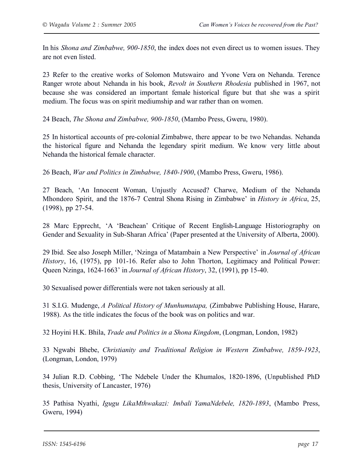In his *Shona and Zimbabwe, 900-1850*, the index does not even direct us to women issues. They are not even listed.

23 Refer to the creative works of Solomon Mutswairo and Yvone Vera on Nehanda. Terence Ranger wrote about Nehanda in his book, *Revolt in Southern Rhodesia* published in 1967, not because she was considered an important female historical figure but that she was a spirit medium. The focus was on spirit mediumship and war rather than on women.

24 Beach, *The Shona and Zimbabwe, 900-1850*, (Mambo Press, Gweru, 1980).

25 In histortical accounts of pre-colonial Zimbabwe, there appear to be two Nehandas. Nehanda the historical figure and Nehanda the legendary spirit medium. We know very little about Nehanda the historical female character.

26 Beach, *War and Politics in Zimbabwe, 1840-1900*, (Mambo Press, Gweru, 1986).

27 Beach, 'An Innocent Woman, Unjustly Accused? Charwe, Medium of the Nehanda Mhondoro Spirit, and the 1876-7 Central Shona Rising in Zimbabwe' in *History in Africa*, 25, (1998), pp 27-54.

28 Marc Epprecht, 'A 'Beachean' Critique of Recent English-Language Historiography on Gender and Sexuality in Sub-Sharan Africa' (Paper presented at the University of Alberta, 2000).

29 Ibid. See also Joseph Miller, 'Nzinga of Matambain a New Perspective' in *Journal of African History*, 16, (1975), pp 101-16. Refer also to John Thorton, Legitimacy and Political Power: Queen Nzinga, 1624-1663' in *Journal of African History*, 32, (1991), pp 15-40.

30 Sexualised power differentials were not taken seriously at all.

31 S.I.G. Mudenge, *A Political History of Munhumutapa,* (Zimbabwe Publishing House, Harare, 1988). As the title indicates the focus of the book was on politics and war.

32 Hoyini H.K. Bhila, *Trade and Politics in a Shona Kingdom*, (Longman, London, 1982)

33 Ngwabi Bhebe, *Christianity and Traditional Religion in Western Zimbabwe, 1859-1923*, (Longman, London, 1979)

34 Julian R.D. Cobbing, 'The Ndebele Under the Khumalos, 1820-1896, (Unpublished PhD thesis, University of Lancaster, 1976)

35 Pathisa Nyathi, *Igugu LikaMthwakazi: Imbali YamaNdebele, 1820-1893*, (Mambo Press, Gweru, 1994)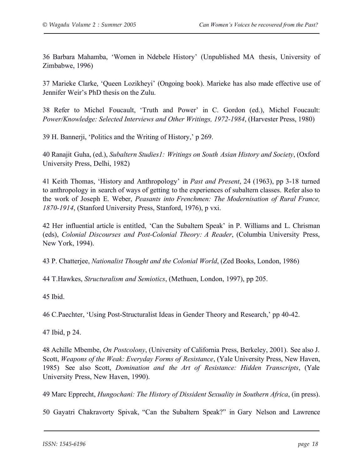36 Barbara Mahamba, 'Women in Ndebele History' (Unpublished MA thesis, University of Zimbabwe, 1996)

37 Marieke Clarke, 'Queen Lozikheyi' (Ongoing book). Marieke has also made effective use of Jennifer Weir's PhD thesis on the Zulu.

38 Refer to Michel Foucault, 'Truth and Power' in C. Gordon (ed.), Michel Foucault: *Power/Knowledge: Selected Interviews and Other Writings, 1972-1984*, (Harvester Press, 1980)

39 H. Bannerji, 'Politics and the Writing of History,' p 269.

40 Ranajit Guha, (ed.), *Subaltern Studies1: Writings on South Asian History and Society*, (Oxford University Press, Delhi, 1982)

41 Keith Thomas, 'History and Anthropology' in *Past and Present*, 24 (1963), pp 3-18 turned to anthropology in search of ways of getting to the experiences of subaltern classes. Refer also to the work of Joseph E. Weber, *Peasants into Frenchmen: The Modernisation of Rural France, 1870-1914*, (Stanford University Press, Stanford, 1976), p vxi.

42 Her influential article is entitled, 'Can the Subaltern Speak' in P. Williams and L. Chrisman (eds), *Colonial Discourses and Post-Colonial Theory: A Reader*, (Columbia University Press, New York, 1994).

43 P. Chatterjee, *Nationalist Thought and the Colonial World*, (Zed Books, London, 1986)

44 T.Hawkes, *Structuralism and Semiotics*, (Methuen, London, 1997), pp 205.

45 Ibid.

46 C.Paechter, 'Using Post-Structuralist Ideas in Gender Theory and Research,' pp 40-42.

47 Ibid, p 24.

48 Achille Mbembe, *On Postcolony*, (University of California Press, Berkeley, 2001). See also J. Scott, *Weapons of the Weak: Everyday Forms of Resistance*, (Yale University Press, New Haven, 1985) See also Scott, *Domination and the Art of Resistance: Hidden Transcripts*, (Yale University Press, New Haven, 1990).

49 Marc Epprecht, *Hungochani: The History of Dissident Sexuality in Southern Africa*, (in press).

50 Gayatri Chakravorty Spivak, "Can the Subaltern Speak?" in Gary Nelson and Lawrence